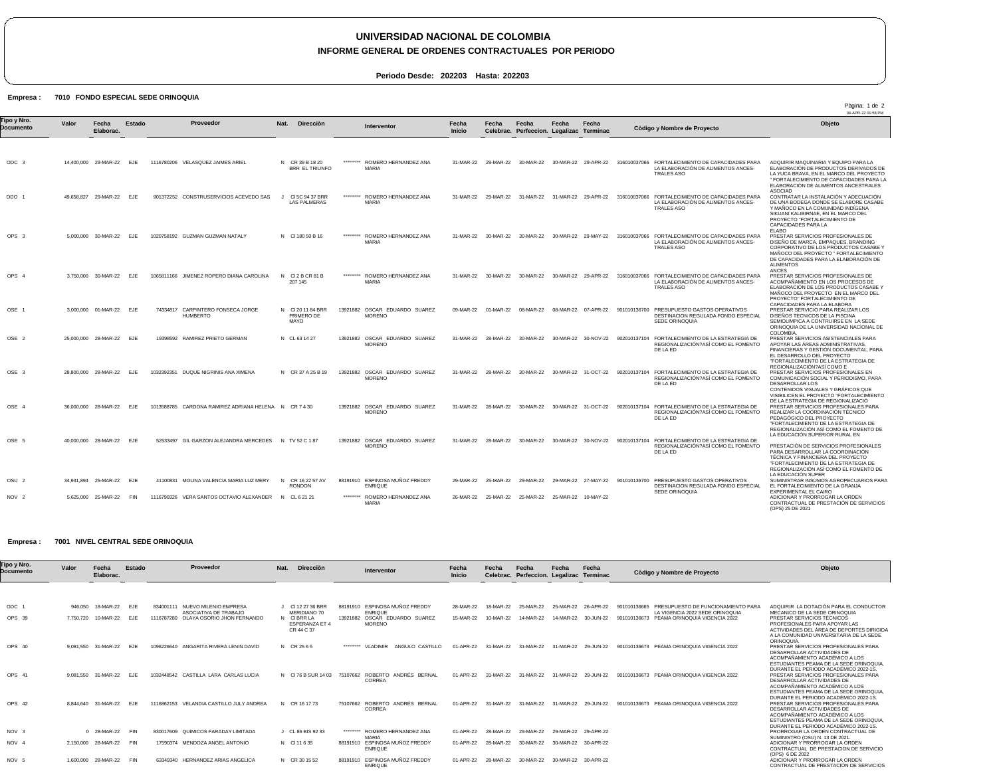# **UNIVERSIDAD NACIONAL DE COLOMBIA**

### **INFORME GENERAL DE ORDENES CONTRACTUALES POR PERIODO**

**Periodo Desde: 202203 Hasta: 202203**

#### Empresa : 7010 FONDO ESPECIAL SEDE ORINOQUIA

|                          |       |                          |               |                                                       |                                         |           |                                                  |                 |           |                                                    |                     |                     |                                                                                                             | Pàgina: 1 de 2<br>04-APR-22 01:58 PM                                                                                                                                                                                                                     |
|--------------------------|-------|--------------------------|---------------|-------------------------------------------------------|-----------------------------------------|-----------|--------------------------------------------------|-----------------|-----------|----------------------------------------------------|---------------------|---------------------|-------------------------------------------------------------------------------------------------------------|----------------------------------------------------------------------------------------------------------------------------------------------------------------------------------------------------------------------------------------------------------|
| Tipo y Nro.<br>Documento | Valor | Fecha<br>Elaborac.       | <b>Estado</b> | Proveedor                                             | <b>Dirección</b><br>Nat.                |           | Interventor                                      | Fecha<br>Inicio | Fecha     | Fecha<br>Celebrac. Perfeccion. Legalizac Terminac. | Fecha               | Fecha               | Còdigo y Nombre de Proyecto                                                                                 | Objeto                                                                                                                                                                                                                                                   |
|                          |       |                          |               |                                                       |                                         |           |                                                  |                 |           |                                                    |                     |                     |                                                                                                             |                                                                                                                                                                                                                                                          |
| ODC 3                    |       | 14,400,000 29-MAR-22 EJE |               | 1116780206 VELASQUEZ JAIMES ARIEL                     | N CR 39 B 18 20<br>BRR EL TRIUNFO       | ********* | ROMERO HERNANDEZ ANA<br><b>MARIA</b>             | 31-MAR-22       | 29-MAR-22 | 30-MAR-22                                          |                     | 30-MAR-22 29-APR-22 | 316010037066 FORTALECIMIENTO DE CAPACIDADES PARA<br>LA ELABORACIÓN DE ALIMENTOS ANCES-<br><b>TRALES ASO</b> | ADQUIRIR MAQUINARIA Y EQUIPO PARA LA<br>ELABORACIÓN DE PRODUCTOS DERIVADOS DE<br>LA YUCA BRAVA. EN EL MARCO DEL PROYECTO<br>" FORTALECIMIENTO DE CAPACIDADES PARA LA<br>ELABORACIÓN DE ALIMENTOS ANCESTRALES                                             |
| ODO 1                    |       | 49,658,827 29-MAR-22     | EJE           | 901372252 CONSTRUSERVICIOS ACEVEDO SAS                | CI 5C 94 37 BRR<br><b>LAS PALMERAS</b>  | ********* | ROMERO HERNANDEZ ANA<br><b>MARIA</b>             | 31-MAR-22       | 29-MAR-22 | 31-MAR-22                                          |                     | 31-MAR-22 29-APR-22 | 316010037066 FORTALECIMIENTO DE CAPACIDADES PARA<br>LA ELABORACIÓN DE ALIMENTOS ANCES-<br><b>TRALES ASO</b> | <b>ASOCIAD</b><br>CONTRATAR LA INSTALACIÓN Y ADECUACIÓN<br>DE UNA BODEGA DONDE SE ELABORE CASABE<br>Y MAÑOCO EN LA COMUNIDAD INDÍGENA<br>SIKUANI KALIBIRNAE, EN EL MARCO DEL<br>PROYECTO "FORTALECIMIENTO DE<br>CAPACIDADES PARA LA<br><b>ELABO</b>      |
| OPS <sub>3</sub>         |       | 5.000.000 30-MAR-22      | EJE           | 1020758192 GUZMAN GUZMAN NATALY                       | N CI 180 50 B 16                        |           | ROMERO HERNANDEZ ANA<br><b>MARIA</b>             | 31-MAR-22       | 30-MAR-22 | 30-MAR-22                                          |                     | 30-MAR-22 29-MAY-22 | 316010037066 FORTALECIMIENTO DE CAPACIDADES PARA<br>LA ELABORACIÓN DE ALIMENTOS ANCES-<br><b>TRALES ASO</b> | PRESTAR SERVICIOS PROFESIONALES DE<br>DISENO DE MARCA, EMPAQUES, BRANDING<br>CORPORATIVO DE LOS PRODUCTOS CASABE<br>MAÑOCO DEL PROYECTO " FORTALECIMIENTO<br>DE CAPACIDADES PARA LA ELABORACIÓN DE<br><b>ALIMENTOS</b><br><b>ANCES</b>                   |
| OPS 4                    |       | 3,750,000 30-MAR-22      | EJE           | 1065811166 JIMENEZ ROPERO DIANA CAROLINA              | N<br>CI 2 B CR 81 B<br>207 145          | ********* | ROMERO HERNANDEZ ANA<br><b>MARIA</b>             | 31-MAR-22       | 30-MAR-22 | 30-MAR-22                                          |                     | 30-MAR-22 29-APR-22 | 316010037066 FORTALECIMIENTO DE CAPACIDADES PARA<br>LA ELABORACIÓN DE ALIMENTOS ANCES-<br>TRALES ASO        | PRESTAR SERVICIOS PROFESIONALES DE<br>ACOMPAÑAMIENTO EN LOS PROCESOS DE<br>ELABORACIÓN DE LOS PRODUCTOS CASABE Y<br>MAÑOCO DEL PROYECTO EN EL MARCO DEL<br>PROYECTO" FORTALECIMIENTO DE<br>CAPACIDADES PARA LA ELABORA                                   |
| OSE 1                    |       | 3,000,000 01-MAR-22 EJE  |               | 74334817 CARPINTERO FONSECA JORGE<br><b>HUMBERTO</b>  | N CI 20 11 84 BRR<br>PRIMERO DE<br>MAYO |           | 13921882 OSCAR EDUARDO SUAREZ<br><b>MORENO</b>   | 09-MAR-22       | 01-MAR-22 | 08-MAR-22                                          |                     | 08-MAR-22 07-APR-22 | 901010136700 PRESUPUESTO GASTOS OPERATIVOS<br>DESTINACION REGULADA FONDO ESPECIAL<br>SEDE ORINOQUIA         | PRESTAR SERVICIO PARA REALIZAR LOS<br>DISEÑOS TECNICOS DE LA PISCINA<br>SEMIOLIMPICA A CONTRUIRSE EN LA SEDE<br>ORINOQUIA DE LA UNIVERSIDAD NACIONAL DE<br>COLOMBIA.                                                                                     |
| OSE <sub>2</sub>         |       | 25.000.000 28-MAR-22 EJE |               | 19398592 RAMIREZ PRIETO GERMAN                        | N CL 63 14 27                           |           | 13921882 OSCAR EDUARDO SUAREZ<br><b>MORENO</b>   | 31-MAR-22       | 28-MAR-22 | 30-MAR-22                                          |                     | 30-MAR-22 30-NOV-22 | 902010137104 FORTALECIMIENTO DE LA ESTRATEGIA DE<br>REGIONALIZACIÓN?ASÍ COMO EL FOMENTO<br>DE LA ED         | PRESTAR SERVICIOS ASISTENCIALES PARA<br>APOYAR LAS ÁREAS ADMINISTRATIVAS.<br>FINANCIERAS Y GESTIÓN DOCUMENTAL, PARA<br>EL DESARROLLO DEL PROYECTO<br>"FORTALECIMIENTO DE LA ESTRATEGIA DE                                                                |
| OSE 3                    |       | 28,800,000 28-MAR-22 EJE |               | 1032392351 DUQUE NIGRINIS ANA XIMENA                  | N CR 37 A 25 B 19                       |           | 13921882 OSCAR EDUARDO SUAREZ<br><b>MORENO</b>   | 31-MAR-22       | 28-MAR-22 | 30-MAR-22                                          |                     | 30-MAR-22 31-OCT-22 | 902010137104 FORTALECIMIENTO DE LA ESTRATEGIA DE<br>REGIONALIZACIÓN?ASÍ COMO EL FOMENTO<br>DE LA ED         | REGIONALIZACIÓN?ASÍ COMO E<br>PRESTAR SERVICIOS PROFESIONALES EN<br>COMUNICACIÓN SOCIAL Y PERIODISMO, PARA<br>DESARROLLAR LOS<br>CONTENIDOS VISUALES Y GRÁFICOS QUE<br>VISIBILICEN EL PROYECTO "FORTALECIMIENTO                                          |
| OSE 4                    |       | 36,000,000 28-MAR-22     | EJE           | 1013588785 CARDONA RAMIREZ ADRIANA HELENA N CR 7 4 30 |                                         |           | 13921882 OSCAR EDUARDO SUAREZ<br><b>MORENO</b>   | 31-MAR-22       | 28-MAR-22 | 30-MAR-22                                          |                     | 30-MAR-22 31-OCT-22 | 902010137104 FORTALECIMIENTO DE LA ESTRATEGIA DE<br>REGIONALIZACIÓN?ASÍ COMO EL FOMENTO<br>DE LA ED         | DE LA ESTRATEGIA DE REGIONALIZACIÓ<br>PRESTAR SERVICIOS PROFESIONALES PARA<br>REALIZAR LA COORDINACIÓN TÉCNICO<br>PEDAGÓGICO DEL PROYECTO<br>"FORTALECIMIENTO DE LA ESTRATEGIA DE<br>REGIONALIZACIÓN ASÍ COMO EL FOMENTO DE                              |
| OSE 5                    |       | 40.000.000 28-MAR-22 EJE |               | 52533497 GIL GARZON ALEJANDRA MERCEDES                | N TV 52 C 187                           |           | 13921882 OSCAR EDUARDO SUAREZ<br><b>MORENO</b>   | 31-MAR-22       | 28-MAR-22 | 30-MAR-22                                          |                     | 30-MAR-22 30-NOV-22 | FORTALECIMIENTO DE LA ESTRATEGIA DE<br>902010137104<br>REGIONALIZACIÓN?ASÍ COMO EL FOMENTO<br>DE LA ED      | LA EDUCACIÓN SUPERIOR RURAL EN<br>PRESTACIÓN DE SERVICIOS PROFESIONALES<br>PARA DESARROLLAR LA COORDINACIÓN<br>TÉCNICA Y FINANCIERA DEL PROYECTO<br>"FORTALECIMIENTO DE LA ESTRATEGIA DE<br>REGIONALIZACIÓN ASÍ COMO EL FOMENTO DE<br>LA EDUCACIÓN SUPER |
| OSU <sub>2</sub>         |       | 34,931,894 25-MAR-22     | EJE           | 41100831 MOLINA VALENCIA MARIA LUZ MERY               | N<br>CR 16 22 57 AV<br><b>RONDON</b>    |           | 88191910 ESPINOSA MUNOZ FREDDY<br><b>ENRIQUE</b> | 29-MAR-22       | 25-MAR-22 | 29-MAR-22                                          |                     | 29-MAR-22 27-MAY-22 | 901010136700 PRESUPUESTO GASTOS OPERATIVOS<br>DESTINACION REGULADA FONDO ESPECIAL<br>SEDE ORINOQUIA         | SUMINISTRAR INSUMOS AGROPECUARIOS PARA<br>EL FORTALECIMIENTO DE LA GRANJA<br><b>EXPERIMENTAL EL CAIRO</b>                                                                                                                                                |
| NOV <sub>2</sub>         |       | 5,625,000 25-MAR-22      | FIN           | 1116790326 VERA SANTOS OCTAVIO ALEXANDER              | N CL 6 21 21                            | ********* | ROMERO HERNANDEZ ANA<br><b>MARIA</b>             | 26-MAR-22       | 25-MAR-22 | 25-MAR-22                                          | 25-MAR-22 10-MAY-22 |                     |                                                                                                             | ADICIONAR Y PRORROGAR LA ORDEN<br>CONTRACTUAL DE PRESTACIÓN DE SERVICIOS<br>(OPS) 25 DE 2021                                                                                                                                                             |

#### Empresa : 7001 NIVEL CENTRAL SEDE ORINOQUIA

| Tipo y Nro.<br>Documento | Valor     | Fecha<br>Elaborac. | Estado     | Proveedor                                                   | Nat.<br><b>Dirección</b>                          |           | Interventor                                      | Fecha<br>Inicio | Fecha<br>Celebrac. | Fecha<br>Perfeccion. | Fecha               | Fecha<br>Legalizac Terminac. | Còdigo y Nombre de Proyecto                                                           | Objeto                                                                                                                                                                                  |
|--------------------------|-----------|--------------------|------------|-------------------------------------------------------------|---------------------------------------------------|-----------|--------------------------------------------------|-----------------|--------------------|----------------------|---------------------|------------------------------|---------------------------------------------------------------------------------------|-----------------------------------------------------------------------------------------------------------------------------------------------------------------------------------------|
|                          |           |                    |            |                                                             |                                                   |           |                                                  |                 |                    |                      |                     |                              |                                                                                       |                                                                                                                                                                                         |
| ODC                      | 946.050   | 18-MAR-22          | <b>EJE</b> | NUEVO MILENIO EMPRESA<br>834001111<br>ASOCIATIVA DE TRABAJO | CI 12 27 36 BRR<br>MERIDIANO 70                   |           | 88191910 ESPINOSA MUÑOZ FREDDY<br><b>ENRIQUE</b> | 28-MAR-22       | 18-MAR-22          | 25-MAR-22            | 25-MAR-22           | 26-APR-22                    | PRESUPUESTO DE FUNCIONAMIENTO PARA<br>901010136665<br>LA VIGENCIA 2022 SEDE ORINOQUIA | ADQUIRIR LA DOTACIÓN PARA EL CONDUCTOR<br>MECANICO DE LA SEDE ORINOQUIA                                                                                                                 |
| OPS 39                   | 7.750.720 | 10-MAR-22          | <b>EJE</b> | 1116787280 OLAYA OSORIO JHON FERNANDO                       | N CIBRR LA<br><b>ESPERANZA ET 4</b><br>CR 44 C 37 |           | 13921882 OSCAR EDUARDO SUAREZ<br><b>MORENO</b>   | 15-MAR-22       | 10-MAR-22          | 14-MAR-22            | 14-MAR-22           | 30-JUN-22                    | PEAMA ORINOQUIA VIGENCIA 2022<br>901010136673                                         | PRESTAR SERVICIOS TÉCNICOS<br>PROFESIONALES PARA APOYAR LAS<br>ACTIVIDADES DEL ÁREA DE DEPORTES DIRIGIDA<br>A LA COMUNIDAD UNIVERSITARIA DE LA SEDE<br>ORINOQUIA.                       |
| OPS 40                   | 9.081.550 | 31-MAR-22          | EJE        | 1096226640 ANGARITA RIVERA LENIN DAVID                      | N CR 2565                                         | ********* | ANGULO CASTILLO<br><b>VLADIMIR</b>               | 01-APR-22       | 31-MAR-22          | 31-MAR-22            | 31-MAR-22           | 29-JUN-22                    | 901010136673 PEAMA ORINOOUIA VIGENCIA 2022                                            | PRESTAR SERVICIOS PROFESIONALES PARA<br>DESARROLLAR ACTIVIDADES DE<br>ACOMPAÑAMIENTO ACADÉMICO A LOS<br>ESTUDIANTES PEAMA DE LA SEDE ORINOQUIA<br>DURANTE EL PERIODO ACADÉMICO 2022-1S. |
| OPS 41                   | 9.081.550 | 31-MAR-22          | EJE.       | CASTILLA LARA CARLAS LUCIA<br>1032448542                    | N CI76 B SUR 14 03                                | 75107662  | ROBERTO ANDRÉS BERNAL<br>CORREA                  | 01-APR-22       | 31-MAR-22          | 31-MAR-22            | 31-MAR-22           | 29-JUN-22                    | 901010136673 PEAMA ORINOQUIA VIGENCIA 2022                                            | PRESTAR SERVICIOS PROFESIONALES PARA<br>DESARROLLAR ACTIVIDADES DE<br>ACOMPAÑAMIENTO ACADÉMICO A LOS<br>ESTUDIANTES PEAMA DE LA SEDE ORINOQUIA<br>DURANTE EL PERIODO ACADÉMICO 2022-1S. |
| OPS 42                   | 8.844.640 | 31-MAR-22          | EJE.       | 1116862153 VELANDIA CASTILLO JULY ANDREA                    | N CR 16 17 73                                     | 75107662  | ROBERTO ANDRÉS BERNAL<br>CORREA                  | 01-APR-22       | 31-MAR-22          | 31-MAR-22            | 31-MAR-22           | 29-JUN-22                    | 901010136673 PEAMA ORINOQUIA VIGENCIA 2022                                            | PRESTAR SERVICIOS PROFESIONALES PARA<br>DESARROLLAR ACTIVIDADES DE<br>ACOMPAÑAMIENTO ACADÉMICO A LOS<br>ESTUDIANTES PEAMA DE LA SEDE ORINOQUIA<br>DURANTE EL PERIODO ACADÉMICO 2022-1S. |
| NOV <sub>3</sub>         |           | 0 28-MAR-22        | <b>FIN</b> | 830017609 QUIMICOS FARADAY LIMITADA                         | CL 86 BIS 92 33                                   | ********* | ROMERO HERNANDEZ ANA<br><b>MARIA</b>             | 01-APR-22       | 28-MAR-22          | 29-MAR-22            |                     | 29-MAR-22 29-APR-22          |                                                                                       | PRORROGAR LA ORDEN CONTRACTUAL DE<br>SUMINISTRO (OSU) N. 13 DE 2021                                                                                                                     |
| NOV <sub>4</sub>         | 2.150.000 | 28-MAR-22          | <b>FIN</b> | 17590374 MENDOZA ANGEL ANTONIO                              | N CI11635                                         |           | 88191910 ESPINOSA MUÑOZ FREDDY<br><b>ENRIQUE</b> | 01-APR-22       | 28-MAR-22          | 30-MAR-22            |                     | 30-MAR-22 30-APR-22          |                                                                                       | ADICIONAR Y PRORROGAR LA ORDEN<br>CONTRACTUAL DE PRESTACION DE SERVICIO<br>(OPS) 6 DE 2022                                                                                              |
| NOV 5                    | 1.600.000 | 28-MAR-22          | <b>FIN</b> | 63349340 HERNANDEZ ARIAS ANGELICA                           | N CR 30 15 52                                     |           | 88191910 ESPINOSA MUÑOZ FREDDY<br><b>ENRIQUE</b> | 01-APR-22       | 28-MAR-22          | 30-MAR-22            | 30-MAR-22 30-APR-22 |                              |                                                                                       | ADICIONAR Y PRORROGAR LA ORDEN<br>CONTRACTUAL DE PRESTACIÓN DE SERVICIOS                                                                                                                |